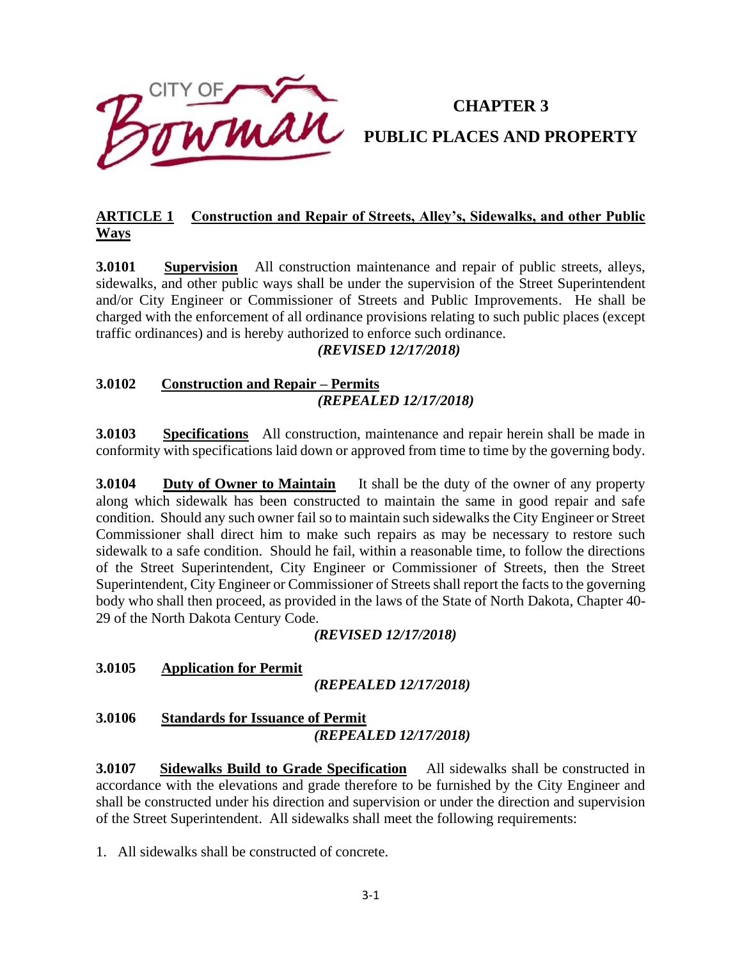

# **CHAPTER 3 PUBLIC PLACES AND PROPERTY**

# **ARTICLE 1 Construction and Repair of Streets, Alley's, Sidewalks, and other Public Ways**

**3.0101 Supervision** All construction maintenance and repair of public streets, alleys, sidewalks, and other public ways shall be under the supervision of the Street Superintendent and/or City Engineer or Commissioner of Streets and Public Improvements. He shall be charged with the enforcement of all ordinance provisions relating to such public places (except traffic ordinances) and is hereby authorized to enforce such ordinance.

# *(REVISED 12/17/2018)*

# **3.0102 Construction and Repair – Permits** *(REPEALED 12/17/2018)*

**3.0103 Specifications** All construction, maintenance and repair herein shall be made in conformity with specifications laid down or approved from time to time by the governing body.

**3.0104** Duty of Owner to Maintain It shall be the duty of the owner of any property along which sidewalk has been constructed to maintain the same in good repair and safe condition. Should any such owner fail so to maintain such sidewalks the City Engineer or Street Commissioner shall direct him to make such repairs as may be necessary to restore such sidewalk to a safe condition. Should he fail, within a reasonable time, to follow the directions of the Street Superintendent, City Engineer or Commissioner of Streets, then the Street Superintendent, City Engineer or Commissioner of Streets shall report the facts to the governing body who shall then proceed, as provided in the laws of the State of North Dakota, Chapter 40- 29 of the North Dakota Century Code.

*(REVISED 12/17/2018)*

#### **3.0105 Application for Permit**

*(REPEALED 12/17/2018)*

**3.0106 Standards for Issuance of Permit** *(REPEALED 12/17/2018)*

**3.0107 Sidewalks Build to Grade Specification** All sidewalks shall be constructed in accordance with the elevations and grade therefore to be furnished by the City Engineer and shall be constructed under his direction and supervision or under the direction and supervision of the Street Superintendent. All sidewalks shall meet the following requirements:

1. All sidewalks shall be constructed of concrete.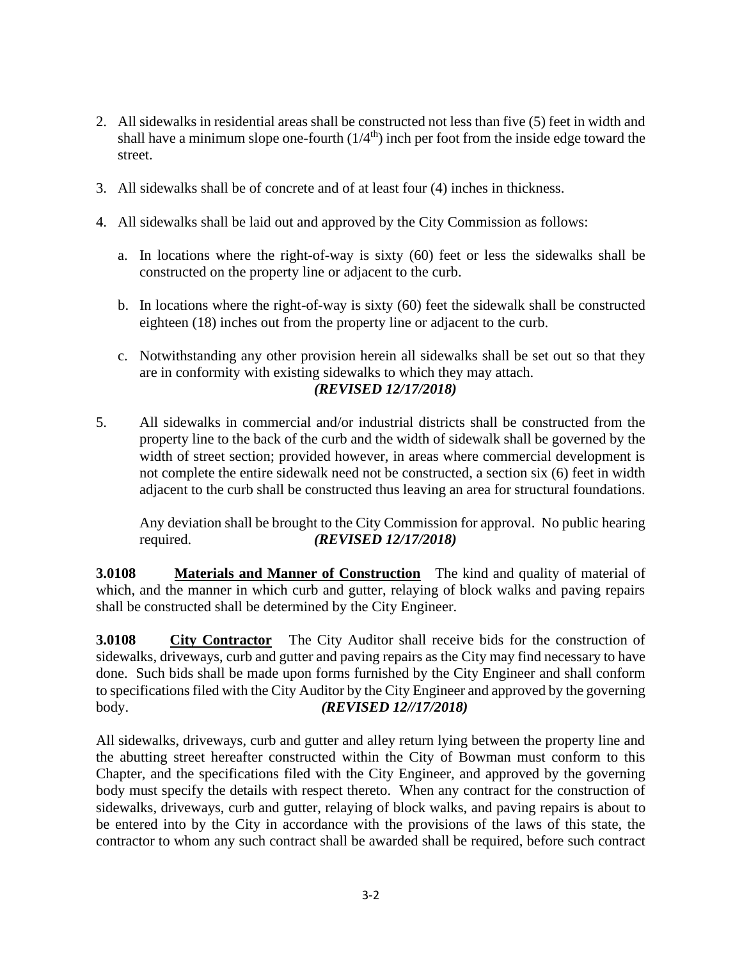- 2. All sidewalks in residential areas shall be constructed not less than five (5) feet in width and shall have a minimum slope one-fourth  $(1/4<sup>th</sup>)$  inch per foot from the inside edge toward the street.
- 3. All sidewalks shall be of concrete and of at least four (4) inches in thickness.
- 4. All sidewalks shall be laid out and approved by the City Commission as follows:
	- a. In locations where the right-of-way is sixty (60) feet or less the sidewalks shall be constructed on the property line or adjacent to the curb.
	- b. In locations where the right-of-way is sixty (60) feet the sidewalk shall be constructed eighteen (18) inches out from the property line or adjacent to the curb.
	- c. Notwithstanding any other provision herein all sidewalks shall be set out so that they are in conformity with existing sidewalks to which they may attach. *(REVISED 12/17/2018)*
- 5. All sidewalks in commercial and/or industrial districts shall be constructed from the property line to the back of the curb and the width of sidewalk shall be governed by the width of street section; provided however, in areas where commercial development is not complete the entire sidewalk need not be constructed, a section six (6) feet in width adjacent to the curb shall be constructed thus leaving an area for structural foundations.

Any deviation shall be brought to the City Commission for approval. No public hearing required. *(REVISED 12/17/2018)*

**3.0108** Materials and Manner of Construction The kind and quality of material of which, and the manner in which curb and gutter, relaying of block walks and paving repairs shall be constructed shall be determined by the City Engineer.

**3.0108 City Contractor** The City Auditor shall receive bids for the construction of sidewalks, driveways, curb and gutter and paving repairs as the City may find necessary to have done. Such bids shall be made upon forms furnished by the City Engineer and shall conform to specifications filed with the City Auditor by the City Engineer and approved by the governing body. *(REVISED 12//17/2018)*

All sidewalks, driveways, curb and gutter and alley return lying between the property line and the abutting street hereafter constructed within the City of Bowman must conform to this Chapter, and the specifications filed with the City Engineer, and approved by the governing body must specify the details with respect thereto. When any contract for the construction of sidewalks, driveways, curb and gutter, relaying of block walks, and paving repairs is about to be entered into by the City in accordance with the provisions of the laws of this state, the contractor to whom any such contract shall be awarded shall be required, before such contract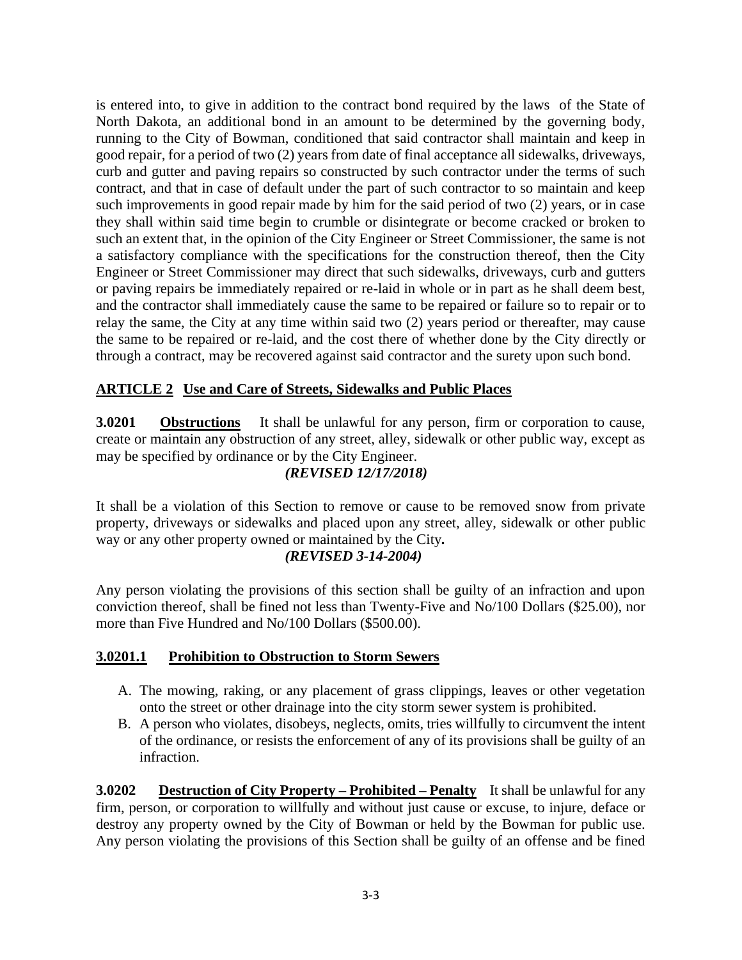is entered into, to give in addition to the contract bond required by the laws of the State of North Dakota, an additional bond in an amount to be determined by the governing body, running to the City of Bowman, conditioned that said contractor shall maintain and keep in good repair, for a period of two (2) years from date of final acceptance all sidewalks, driveways, curb and gutter and paving repairs so constructed by such contractor under the terms of such contract, and that in case of default under the part of such contractor to so maintain and keep such improvements in good repair made by him for the said period of two (2) years, or in case they shall within said time begin to crumble or disintegrate or become cracked or broken to such an extent that, in the opinion of the City Engineer or Street Commissioner, the same is not a satisfactory compliance with the specifications for the construction thereof, then the City Engineer or Street Commissioner may direct that such sidewalks, driveways, curb and gutters or paving repairs be immediately repaired or re-laid in whole or in part as he shall deem best, and the contractor shall immediately cause the same to be repaired or failure so to repair or to relay the same, the City at any time within said two (2) years period or thereafter, may cause the same to be repaired or re-laid, and the cost there of whether done by the City directly or through a contract, may be recovered against said contractor and the surety upon such bond.

# **ARTICLE 2 Use and Care of Streets, Sidewalks and Public Places**

**3.0201 Obstructions** It shall be unlawful for any person, firm or corporation to cause, create or maintain any obstruction of any street, alley, sidewalk or other public way, except as may be specified by ordinance or by the City Engineer.

#### *(REVISED 12/17/2018)*

It shall be a violation of this Section to remove or cause to be removed snow from private property, driveways or sidewalks and placed upon any street, alley, sidewalk or other public way or any other property owned or maintained by the City*.* 

#### *(REVISED 3-14-2004)*

Any person violating the provisions of this section shall be guilty of an infraction and upon conviction thereof, shall be fined not less than Twenty-Five and No/100 Dollars (\$25.00), nor more than Five Hundred and No/100 Dollars (\$500.00).

#### **3.0201.1 Prohibition to Obstruction to Storm Sewers**

- A. The mowing, raking, or any placement of grass clippings, leaves or other vegetation onto the street or other drainage into the city storm sewer system is prohibited.
- B. A person who violates, disobeys, neglects, omits, tries willfully to circumvent the intent of the ordinance, or resists the enforcement of any of its provisions shall be guilty of an infraction.

**3.0202 Destruction of City Property – Prohibited – Penalty** It shall be unlawful for any firm, person, or corporation to willfully and without just cause or excuse, to injure, deface or destroy any property owned by the City of Bowman or held by the Bowman for public use. Any person violating the provisions of this Section shall be guilty of an offense and be fined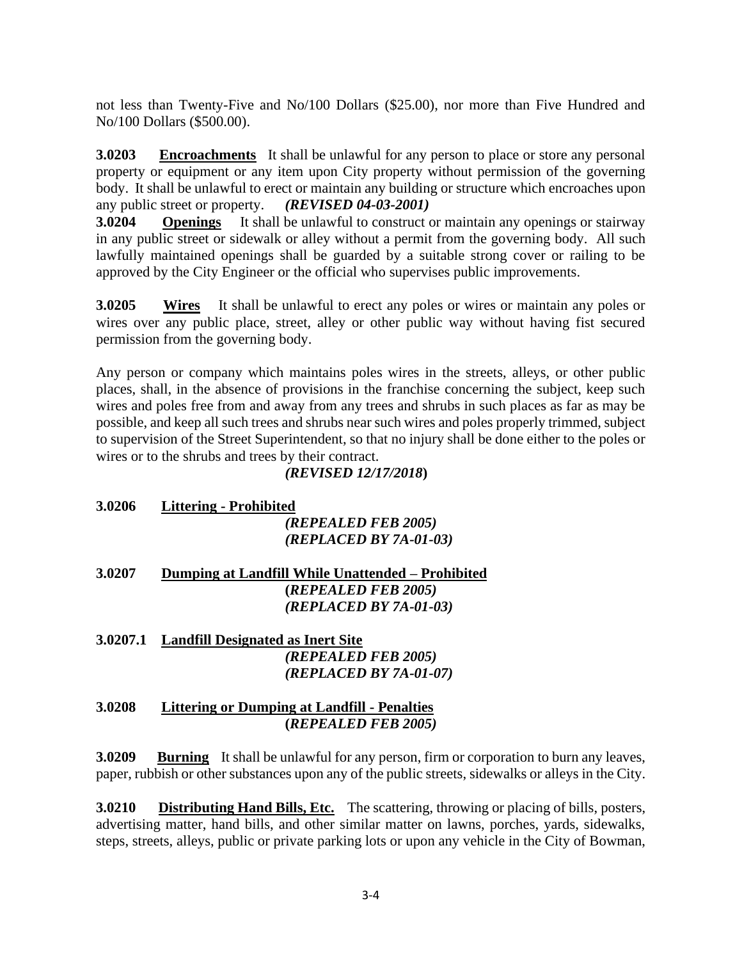not less than Twenty-Five and No/100 Dollars (\$25.00), nor more than Five Hundred and No/100 Dollars (\$500.00).

**3.0203 Encroachments** It shall be unlawful for any person to place or store any personal property or equipment or any item upon City property without permission of the governing body. It shall be unlawful to erect or maintain any building or structure which encroaches upon any public street or property. *(REVISED 04-03-2001)*

**3.0204 Openings** It shall be unlawful to construct or maintain any openings or stairway in any public street or sidewalk or alley without a permit from the governing body. All such lawfully maintained openings shall be guarded by a suitable strong cover or railing to be approved by the City Engineer or the official who supervises public improvements.

**3.0205 Wires** It shall be unlawful to erect any poles or wires or maintain any poles or wires over any public place, street, alley or other public way without having fist secured permission from the governing body.

Any person or company which maintains poles wires in the streets, alleys, or other public places, shall, in the absence of provisions in the franchise concerning the subject, keep such wires and poles free from and away from any trees and shrubs in such places as far as may be possible, and keep all such trees and shrubs near such wires and poles properly trimmed, subject to supervision of the Street Superintendent, so that no injury shall be done either to the poles or wires or to the shrubs and trees by their contract.

# *(REVISED 12/17/2018***)**

| 3.0206 | <b>Littering - Prohibited</b>                                                                                 |
|--------|---------------------------------------------------------------------------------------------------------------|
|        | (REPEALED FEB 2005)                                                                                           |
|        | (REPLACED BY 7A-01-03)                                                                                        |
| 3.0207 | Dumping at Landfill While Unattended – Prohibited                                                             |
|        | (REPEALED FEB 2005)                                                                                           |
|        | (REPLACED BY 7A-01-03)                                                                                        |
|        | 3.0207.1 Landfill Designated as Inert Site                                                                    |
|        | (REPEALED FEB 2005)                                                                                           |
|        | (REPLACED BY 7A-01-07)                                                                                        |
| a nano | 1945 - 1956 - 1957 - 1958 - 1959 - 1959 - 1959 - 1959 - 1959 - 1959 - 1959 - 1959 - 1959 - 1959 - 1959 - 1959 |

#### **3.0208 Littering or Dumping at Landfill - Penalties (***REPEALED FEB 2005)*

**3.0209 Burning** It shall be unlawful for any person, firm or corporation to burn any leaves, paper, rubbish or other substances upon any of the public streets, sidewalks or alleys in the City.

**3.0210 Distributing Hand Bills, Etc.** The scattering, throwing or placing of bills, posters, advertising matter, hand bills, and other similar matter on lawns, porches, yards, sidewalks, steps, streets, alleys, public or private parking lots or upon any vehicle in the City of Bowman,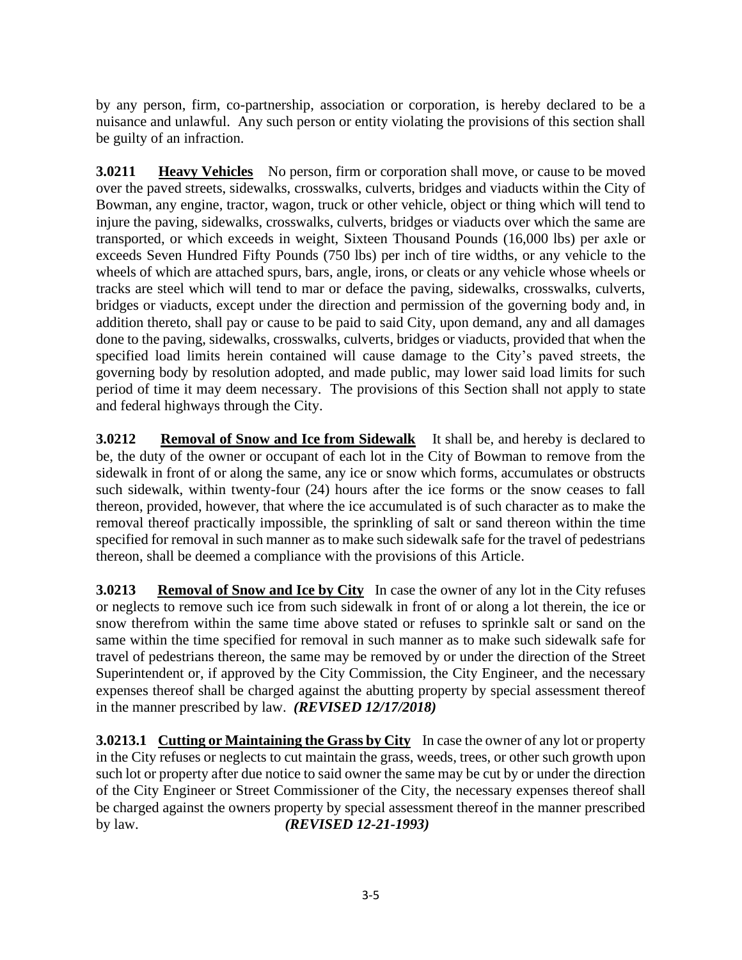by any person, firm, co-partnership, association or corporation, is hereby declared to be a nuisance and unlawful. Any such person or entity violating the provisions of this section shall be guilty of an infraction.

**3.0211 Heavy Vehicles** No person, firm or corporation shall move, or cause to be moved over the paved streets, sidewalks, crosswalks, culverts, bridges and viaducts within the City of Bowman, any engine, tractor, wagon, truck or other vehicle, object or thing which will tend to injure the paving, sidewalks, crosswalks, culverts, bridges or viaducts over which the same are transported, or which exceeds in weight, Sixteen Thousand Pounds (16,000 lbs) per axle or exceeds Seven Hundred Fifty Pounds (750 lbs) per inch of tire widths, or any vehicle to the wheels of which are attached spurs, bars, angle, irons, or cleats or any vehicle whose wheels or tracks are steel which will tend to mar or deface the paving, sidewalks, crosswalks, culverts, bridges or viaducts, except under the direction and permission of the governing body and, in addition thereto, shall pay or cause to be paid to said City, upon demand, any and all damages done to the paving, sidewalks, crosswalks, culverts, bridges or viaducts, provided that when the specified load limits herein contained will cause damage to the City's paved streets, the governing body by resolution adopted, and made public, may lower said load limits for such period of time it may deem necessary. The provisions of this Section shall not apply to state and federal highways through the City.

**3.0212** Removal of Snow and Ice from Sidewalk It shall be, and hereby is declared to be, the duty of the owner or occupant of each lot in the City of Bowman to remove from the sidewalk in front of or along the same, any ice or snow which forms, accumulates or obstructs such sidewalk, within twenty-four (24) hours after the ice forms or the snow ceases to fall thereon, provided, however, that where the ice accumulated is of such character as to make the removal thereof practically impossible, the sprinkling of salt or sand thereon within the time specified for removal in such manner as to make such sidewalk safe for the travel of pedestrians thereon, shall be deemed a compliance with the provisions of this Article.

**3.0213** Removal of Snow and Ice by City In case the owner of any lot in the City refuses or neglects to remove such ice from such sidewalk in front of or along a lot therein, the ice or snow therefrom within the same time above stated or refuses to sprinkle salt or sand on the same within the time specified for removal in such manner as to make such sidewalk safe for travel of pedestrians thereon, the same may be removed by or under the direction of the Street Superintendent or, if approved by the City Commission, the City Engineer, and the necessary expenses thereof shall be charged against the abutting property by special assessment thereof in the manner prescribed by law.*(REVISED 12/17/2018)*

**3.0213.1 Cutting or Maintaining the Grass by City** In case the owner of any lot or property in the City refuses or neglects to cut maintain the grass, weeds, trees, or other such growth upon such lot or property after due notice to said owner the same may be cut by or under the direction of the City Engineer or Street Commissioner of the City, the necessary expenses thereof shall be charged against the owners property by special assessment thereof in the manner prescribed by law. *(REVISED 12-21-1993)*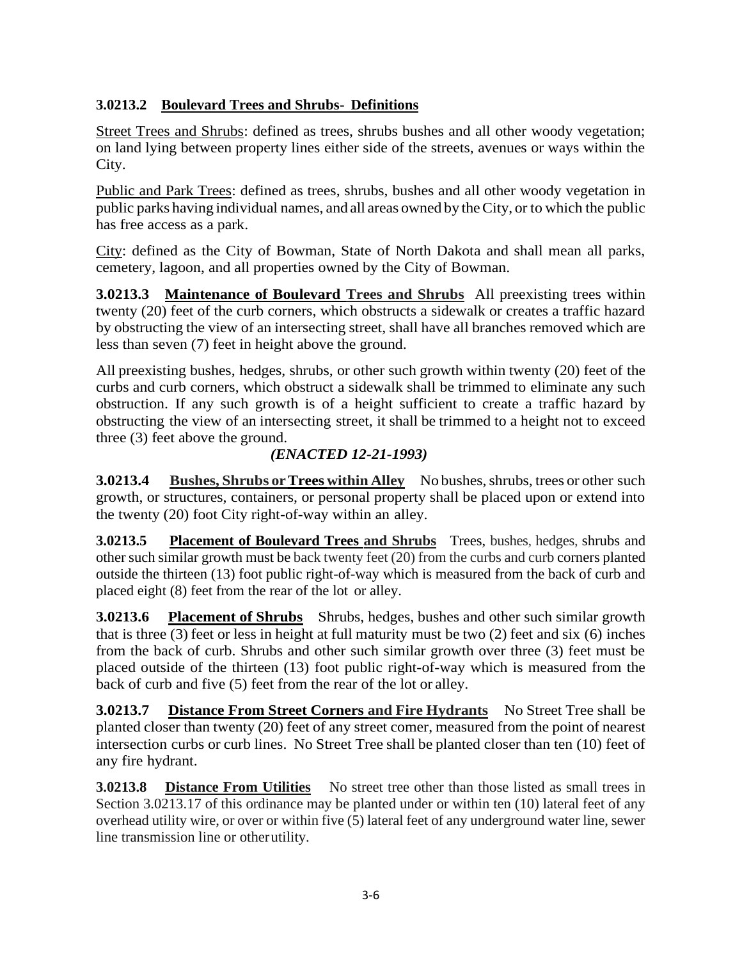# **3.0213.2 Boulevard Trees and Shrubs- Definitions**

Street Trees and Shrubs: defined as trees, shrubs bushes and all other woody vegetation; on land lying between property lines either side of the streets, avenues or ways within the City.

Public and Park Trees: defined as trees, shrubs, bushes and all other woody vegetation in public parks having individual names, and all areas owned by theCity, or to which the public has free access as a park.

City: defined as the City of Bowman, State of North Dakota and shall mean all parks, cemetery, lagoon, and all properties owned by the City of Bowman.

**3.0213.3 Maintenance of Boulevard Trees and Shrubs** All preexisting trees within twenty (20) feet of the curb corners, which obstructs a sidewalk or creates a traffic hazard by obstructing the view of an intersecting street, shall have all branches removed which are less than seven (7) feet in height above the ground.

All preexisting bushes, hedges, shrubs, or other such growth within twenty (20) feet of the curbs and curb corners, which obstruct a sidewalk shall be trimmed to eliminate any such obstruction. If any such growth is of a height sufficient to create a traffic hazard by obstructing the view of an intersecting street, it shall be trimmed to a height not to exceed three (3) feet above the ground.

# *(ENACTED 12-21-1993)*

**3.0213.4** Bushes, Shrubs or Trees within Alley No bushes, shrubs, trees or other such growth, or structures, containers, or personal property shall be placed upon or extend into the twenty (20) foot City right-of-way within an alley.

**3.0213.5 Placement of Boulevard Trees and Shrubs** Trees, bushes, hedges, shrubs and other such similar growth must be back twenty feet (20) from the curbs and curb corners planted outside the thirteen (13) foot public right-of-way which is measured from the back of curb and placed eight (8) feet from the rear of the lot or alley.

**3.0213.6 Placement of Shrubs** Shrubs, hedges, bushes and other such similar growth that is three (3) feet or less in height at full maturity must be two (2) feet and six (6) inches from the back of curb. Shrubs and other such similar growth over three (3) feet must be placed outside of the thirteen (13) foot public right-of-way which is measured from the back of curb and five (5) feet from the rear of the lot or alley.

**3.0213.7 Distance From Street Corners and Fire Hydrants** No Street Tree shall be planted closer than twenty (20) feet of any street comer, measured from the point of nearest intersection curbs or curb lines. No Street Tree shall be planted closer than ten (10) feet of any fire hydrant.

**3.0213.8 Distance From Utilities** No street tree other than those listed as small trees in Section 3.0213.17 of this ordinance may be planted under or within ten (10) lateral feet of any overhead utility wire, or over or within five (5) lateral feet of any underground water line, sewer line transmission line or otherutility.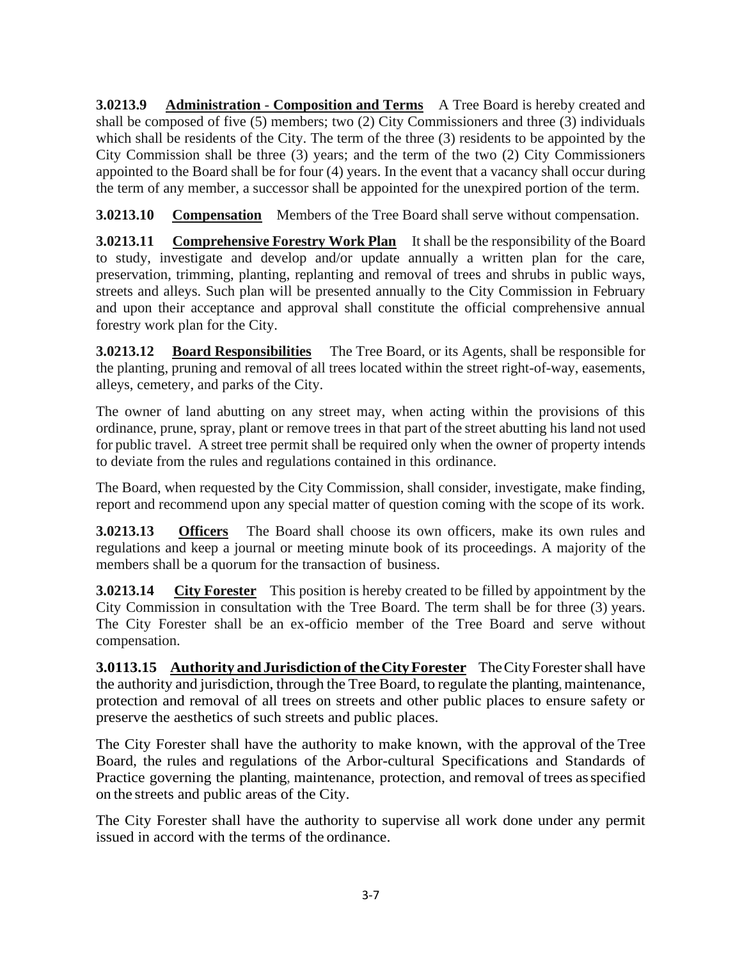**3.0213.9 Administration** - **Composition and Terms** A Tree Board is hereby created and shall be composed of five (5) members; two (2) City Commissioners and three (3) individuals which shall be residents of the City. The term of the three (3) residents to be appointed by the City Commission shall be three (3) years; and the term of the two (2) City Commissioners appointed to the Board shall be for four (4) years. In the event that a vacancy shall occur during the term of any member, a successor shall be appointed for the unexpired portion of the term.

**3.0213.10 Compensation** Members of the Tree Board shall serve without compensation.

**3.0213.11 Comprehensive Forestry Work Plan** It shall be the responsibility of the Board to study, investigate and develop and/or update annually a written plan for the care, preservation, trimming, planting, replanting and removal of trees and shrubs in public ways, streets and alleys. Such plan will be presented annually to the City Commission in February and upon their acceptance and approval shall constitute the official comprehensive annual forestry work plan for the City.

**3.0213.12 Board Responsibilities** The Tree Board, or its Agents, shall be responsible for the planting, pruning and removal of all trees located within the street right-of-way, easements, alleys, cemetery, and parks of the City.

The owner of land abutting on any street may, when acting within the provisions of this ordinance, prune, spray, plant or remove trees in that part of the street abutting his land not used for public travel. A street tree permit shall be required only when the owner of property intends to deviate from the rules and regulations contained in this ordinance.

The Board, when requested by the City Commission, shall consider, investigate, make finding, report and recommend upon any special matter of question coming with the scope of its work.

**3.0213.13 Officers** The Board shall choose its own officers, make its own rules and regulations and keep a journal or meeting minute book of its proceedings. A majority of the members shall be a quorum for the transaction of business.

**3.0213.14** City Forester This position is hereby created to be filled by appointment by the City Commission in consultation with the Tree Board. The term shall be for three (3) years. The City Forester shall be an ex-officio member of the Tree Board and serve without compensation.

**3.0113.15 Authority andJurisdiction of theCityForester** TheCityForestershall have the authority and jurisdiction, through the Tree Board, to regulate the planting, maintenance, protection and removal of all trees on streets and other public places to ensure safety or preserve the aesthetics of such streets and public places.

The City Forester shall have the authority to make known, with the approval of the Tree Board, the rules and regulations of the Arbor-cultural Specifications and Standards of Practice governing the planting, maintenance, protection, and removal of trees asspecified on the streets and public areas of the City.

The City Forester shall have the authority to supervise all work done under any permit issued in accord with the terms of the ordinance.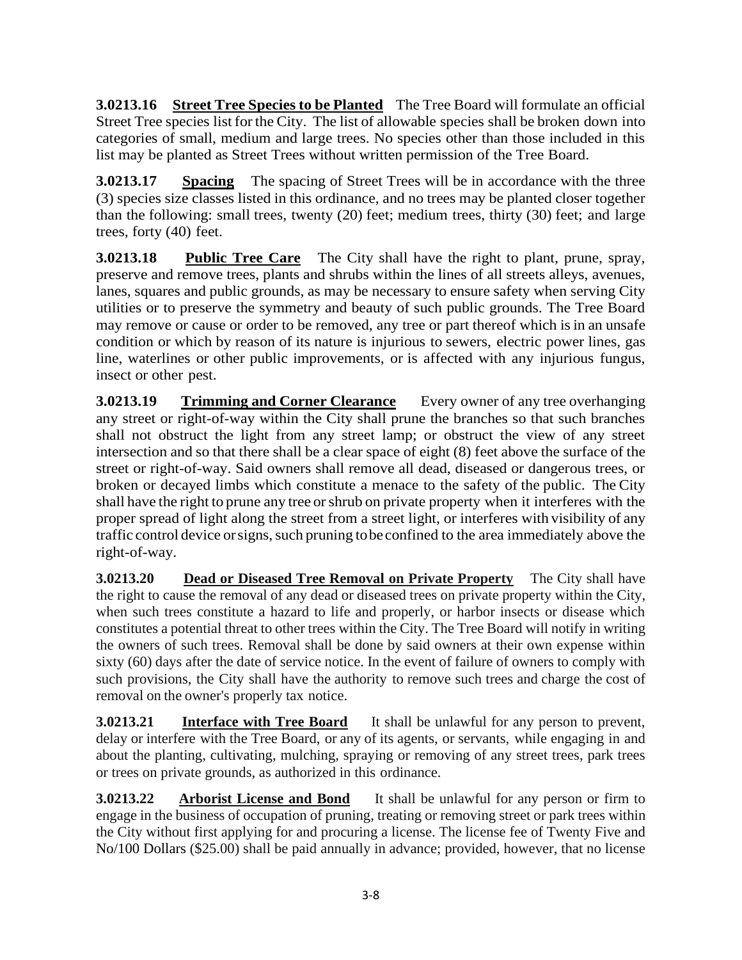**3.0213.16 Street Tree Species to be Planted** The Tree Board will formulate an official Street Tree species list for the City. The list of allowable species shall be broken down into categories of small, medium and large trees. No species other than those included in this list may be planted as Street Trees without written permission of the Tree Board.

**3.0213.17 Spacing** The spacing of Street Trees will be in accordance with the three (3) species size classes listed in this ordinance, and no trees may be planted closer together than the following: small trees, twenty (20) feet; medium trees, thirty (30) feet; and large trees, forty (40) feet.

**3.0213.18 Public Tree Care** The City shall have the right to plant, prune, spray, preserve and remove trees, plants and shrubs within the lines of all streets alleys, avenues, lanes, squares and public grounds, as may be necessary to ensure safety when serving City utilities or to preserve the symmetry and beauty of such public grounds. The Tree Board may remove or cause or order to be removed, any tree or part thereof which isin an unsafe condition or which by reason of its nature is injurious to sewers, electric power lines, gas line, waterlines or other public improvements, or is affected with any injurious fungus, insect or other pest.

**3.0213.19 Trimming and Corner Clearance** Every owner of any tree overhanging any street or right-of-way within the City shall prune the branches so that such branches shall not obstruct the light from any street lamp; or obstruct the view of any street intersection and so that there shall be a clear space of eight (8) feet above the surface of the street or right-of-way. Said owners shall remove all dead, diseased or dangerous trees, or broken or decayed limbs which constitute a menace to the safety of the public. The City shall have the right to prune any tree orshrub on private property when it interferes with the proper spread of light along the street from a street light, or interferes with visibility of any traffic control device or signs, such pruning to be confined to the area immediately above the right-of-way.

**3.0213.20 Dead or Diseased Tree Removal on Private Property** The City shall have the right to cause the removal of any dead or diseased trees on private property within the City, when such trees constitute a hazard to life and properly, or harbor insects or disease which constitutes a potential threat to other trees within the City. The Tree Board will notify in writing the owners of such trees. Removal shall be done by said owners at their own expense within sixty (60) days after the date of service notice. In the event of failure of owners to comply with such provisions, the City shall have the authority to remove such trees and charge the cost of removal on the owner's properly tax notice.

**3.0213.21 Interface with Tree Board** It shall be unlawful for any person to prevent, delay or interfere with the Tree Board, or any of its agents, or servants, while engaging in and about the planting, cultivating, mulching, spraying or removing of any street trees, park trees or trees on private grounds, as authorized in this ordinance.

**3.0213.22 Arborist License and Bond** It shall be unlawful for any person or firm to engage in the business of occupation of pruning, treating or removing street or park trees within the City without first applying for and procuring a license. The license fee of Twenty Five and No/100 Dollars (\$25.00) shall be paid annually in advance; provided, however, that no license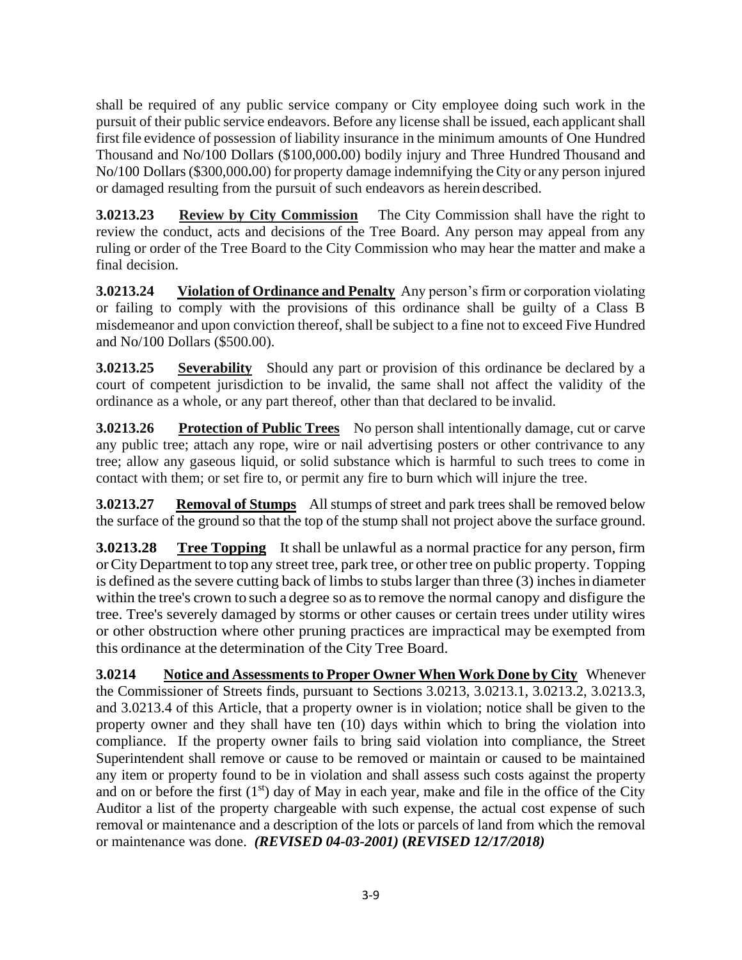shall be required of any public service company or City employee doing such work in the pursuit of their public service endeavors. Before any license shall be issued, each applicant shall first file evidence of possession of liability insurance in the minimum amounts of One Hundred Thousand and No/100 Dollars (\$100,000**.**00) bodily injury and Three Hundred Thousand and No/100 Dollars(\$300,000**.**00) for property damage indemnifying the City or any person injured or damaged resulting from the pursuit of such endeavors as herein described.

**3.0213.23 Review by City Commission** The City Commission shall have the right to review the conduct, acts and decisions of the Tree Board. Any person may appeal from any ruling or order of the Tree Board to the City Commission who may hear the matter and make a final decision.

**3.0213.24** Violation of Ordinance and Penalty Any person's firm or corporation violating or failing to comply with the provisions of this ordinance shall be guilty of a Class B misdemeanor and upon conviction thereof, shall be subject to a fine not to exceed Five Hundred and No/100 Dollars (\$500.00).

**3.0213.25** Severability Should any part or provision of this ordinance be declared by a court of competent jurisdiction to be invalid, the same shall not affect the validity of the ordinance as a whole, or any part thereof, other than that declared to be invalid.

**3.0213.26 Protection of Public Trees** No person shall intentionally damage, cut or carve any public tree; attach any rope, wire or nail advertising posters or other contrivance to any tree; allow any gaseous liquid, or solid substance which is harmful to such trees to come in contact with them; or set fire to, or permit any fire to burn which will injure the tree.

**3.0213.27 Removal of Stumps** All stumps of street and park trees shall be removed below the surface of the ground so that the top of the stump shall not project above the surface ground.

**3.0213.28 Tree Topping** It shall be unlawful as a normal practice for any person, firm orCity Department to top any street tree, park tree, or other tree on public property. Topping is defined as the severe cutting back of limbs to stubs larger than three  $(3)$  inches in diameter within the tree's crown to such a degree so asto remove the normal canopy and disfigure the tree. Tree's severely damaged by storms or other causes or certain trees under utility wires or other obstruction where other pruning practices are impractical may be exempted from this ordinance at the determination of the City Tree Board.

**3.0214 Notice and Assessments to Proper Owner When Work Done by City** Whenever the Commissioner of Streets finds, pursuant to Sections 3.0213, 3.0213.1, 3.0213.2, 3.0213.3, and 3.0213.4 of this Article, that a property owner is in violation; notice shall be given to the property owner and they shall have ten (10) days within which to bring the violation into compliance. If the property owner fails to bring said violation into compliance, the Street Superintendent shall remove or cause to be removed or maintain or caused to be maintained any item or property found to be in violation and shall assess such costs against the property and on or before the first  $(1<sup>st</sup>)$  day of May in each year, make and file in the office of the City Auditor a list of the property chargeable with such expense, the actual cost expense of such removal or maintenance and a description of the lots or parcels of land from which the removal or maintenance was done. *(REVISED 04-03-2001)* **(***REVISED 12/17/2018)*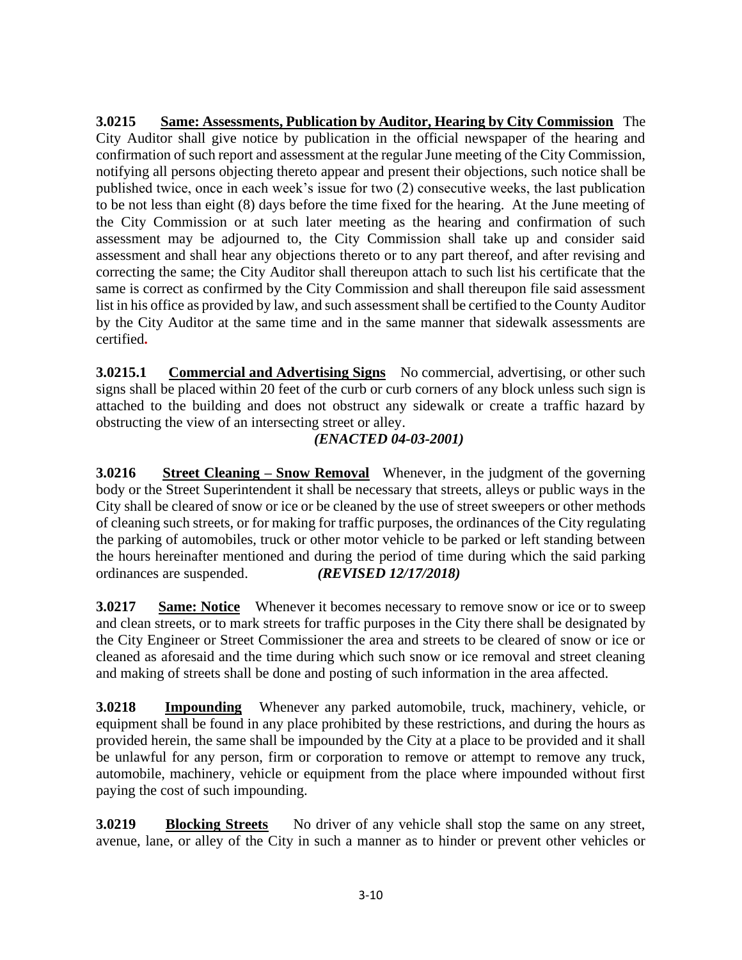**3.0215 Same: Assessments, Publication by Auditor, Hearing by City Commission** The City Auditor shall give notice by publication in the official newspaper of the hearing and confirmation of such report and assessment at the regular June meeting of the City Commission, notifying all persons objecting thereto appear and present their objections, such notice shall be published twice, once in each week's issue for two (2) consecutive weeks, the last publication to be not less than eight (8) days before the time fixed for the hearing. At the June meeting of the City Commission or at such later meeting as the hearing and confirmation of such assessment may be adjourned to, the City Commission shall take up and consider said assessment and shall hear any objections thereto or to any part thereof, and after revising and correcting the same; the City Auditor shall thereupon attach to such list his certificate that the same is correct as confirmed by the City Commission and shall thereupon file said assessment list in his office as provided by law, and such assessment shall be certified to the County Auditor by the City Auditor at the same time and in the same manner that sidewalk assessments are certified**.** 

**3.0215.1** Commercial and Advertising Signs No commercial, advertising, or other such signs shall be placed within 20 feet of the curb or curb corners of any block unless such sign is attached to the building and does not obstruct any sidewalk or create a traffic hazard by obstructing the view of an intersecting street or alley.

# *(ENACTED 04-03-2001)*

**3.0216** Street Cleaning – Snow Removal Whenever, in the judgment of the governing body or the Street Superintendent it shall be necessary that streets, alleys or public ways in the City shall be cleared of snow or ice or be cleaned by the use of street sweepers or other methods of cleaning such streets, or for making for traffic purposes, the ordinances of the City regulating the parking of automobiles, truck or other motor vehicle to be parked or left standing between the hours hereinafter mentioned and during the period of time during which the said parking ordinances are suspended. *(REVISED 12/17/2018)*

**3.0217 Same: Notice** Whenever it becomes necessary to remove snow or ice or to sweep and clean streets, or to mark streets for traffic purposes in the City there shall be designated by the City Engineer or Street Commissioner the area and streets to be cleared of snow or ice or cleaned as aforesaid and the time during which such snow or ice removal and street cleaning and making of streets shall be done and posting of such information in the area affected.

**3.0218 Impounding** Whenever any parked automobile, truck, machinery, vehicle, or equipment shall be found in any place prohibited by these restrictions, and during the hours as provided herein, the same shall be impounded by the City at a place to be provided and it shall be unlawful for any person, firm or corporation to remove or attempt to remove any truck, automobile, machinery, vehicle or equipment from the place where impounded without first paying the cost of such impounding.

**3.0219** Blocking Streets No driver of any vehicle shall stop the same on any street, avenue, lane, or alley of the City in such a manner as to hinder or prevent other vehicles or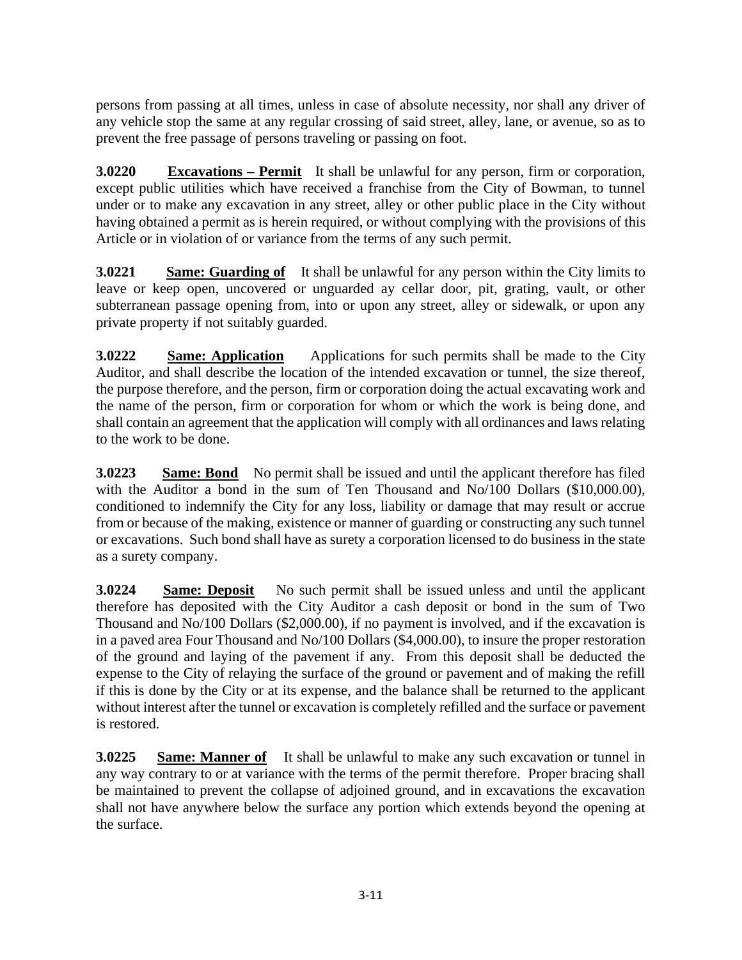persons from passing at all times, unless in case of absolute necessity, nor shall any driver of any vehicle stop the same at any regular crossing of said street, alley, lane, or avenue, so as to prevent the free passage of persons traveling or passing on foot.

**3.0220 Excavations – Permit** It shall be unlawful for any person, firm or corporation, except public utilities which have received a franchise from the City of Bowman, to tunnel under or to make any excavation in any street, alley or other public place in the City without having obtained a permit as is herein required, or without complying with the provisions of this Article or in violation of or variance from the terms of any such permit.

**3.0221** Same: Guarding of It shall be unlawful for any person within the City limits to leave or keep open, uncovered or unguarded ay cellar door, pit, grating, vault, or other subterranean passage opening from, into or upon any street, alley or sidewalk, or upon any private property if not suitably guarded.

**3.0222 Same: Application** Applications for such permits shall be made to the City Auditor, and shall describe the location of the intended excavation or tunnel, the size thereof, the purpose therefore, and the person, firm or corporation doing the actual excavating work and the name of the person, firm or corporation for whom or which the work is being done, and shall contain an agreement that the application will comply with all ordinances and laws relating to the work to be done.

**3.0223** Same: Bond No permit shall be issued and until the applicant therefore has filed with the Auditor a bond in the sum of Ten Thousand and No/100 Dollars (\$10,000.00), conditioned to indemnify the City for any loss, liability or damage that may result or accrue from or because of the making, existence or manner of guarding or constructing any such tunnel or excavations. Such bond shall have as surety a corporation licensed to do business in the state as a surety company.

**3.0224** Same: Deposit No such permit shall be issued unless and until the applicant therefore has deposited with the City Auditor a cash deposit or bond in the sum of Two Thousand and No/100 Dollars (\$2,000.00), if no payment is involved, and if the excavation is in a paved area Four Thousand and No/100 Dollars (\$4,000.00), to insure the proper restoration of the ground and laying of the pavement if any. From this deposit shall be deducted the expense to the City of relaying the surface of the ground or pavement and of making the refill if this is done by the City or at its expense, and the balance shall be returned to the applicant without interest after the tunnel or excavation is completely refilled and the surface or pavement is restored.

**3.0225 Same: Manner of** It shall be unlawful to make any such excavation or tunnel in any way contrary to or at variance with the terms of the permit therefore. Proper bracing shall be maintained to prevent the collapse of adjoined ground, and in excavations the excavation shall not have anywhere below the surface any portion which extends beyond the opening at the surface.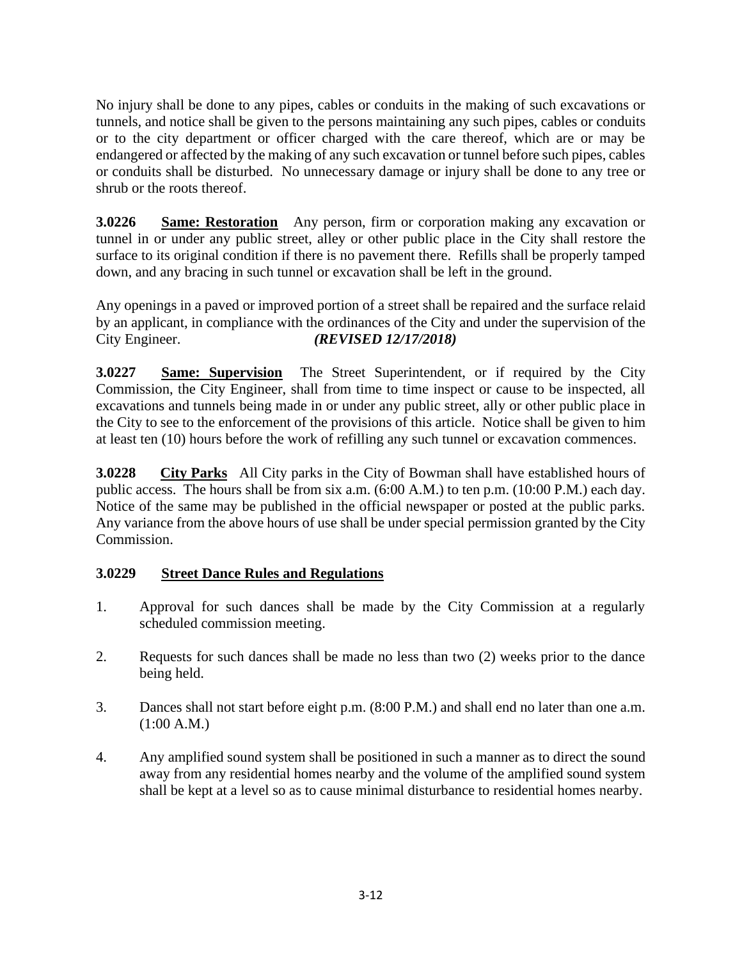No injury shall be done to any pipes, cables or conduits in the making of such excavations or tunnels, and notice shall be given to the persons maintaining any such pipes, cables or conduits or to the city department or officer charged with the care thereof, which are or may be endangered or affected by the making of any such excavation or tunnel before such pipes, cables or conduits shall be disturbed. No unnecessary damage or injury shall be done to any tree or shrub or the roots thereof.

**3.0226 Same: Restoration** Any person, firm or corporation making any excavation or tunnel in or under any public street, alley or other public place in the City shall restore the surface to its original condition if there is no pavement there. Refills shall be properly tamped down, and any bracing in such tunnel or excavation shall be left in the ground.

Any openings in a paved or improved portion of a street shall be repaired and the surface relaid by an applicant, in compliance with the ordinances of the City and under the supervision of the City Engineer. *(REVISED 12/17/2018)*

**3.0227 Same: Supervision** The Street Superintendent, or if required by the City Commission, the City Engineer, shall from time to time inspect or cause to be inspected, all excavations and tunnels being made in or under any public street, ally or other public place in the City to see to the enforcement of the provisions of this article. Notice shall be given to him at least ten (10) hours before the work of refilling any such tunnel or excavation commences.

**3.0228 City Parks** All City parks in the City of Bowman shall have established hours of public access. The hours shall be from six a.m. (6:00 A.M.) to ten p.m. (10:00 P.M.) each day. Notice of the same may be published in the official newspaper or posted at the public parks. Any variance from the above hours of use shall be under special permission granted by the City Commission.

#### **3.0229 Street Dance Rules and Regulations**

- 1. Approval for such dances shall be made by the City Commission at a regularly scheduled commission meeting.
- 2. Requests for such dances shall be made no less than two (2) weeks prior to the dance being held.
- 3. Dances shall not start before eight p.m. (8:00 P.M.) and shall end no later than one a.m. (1:00 A.M.)
- 4. Any amplified sound system shall be positioned in such a manner as to direct the sound away from any residential homes nearby and the volume of the amplified sound system shall be kept at a level so as to cause minimal disturbance to residential homes nearby.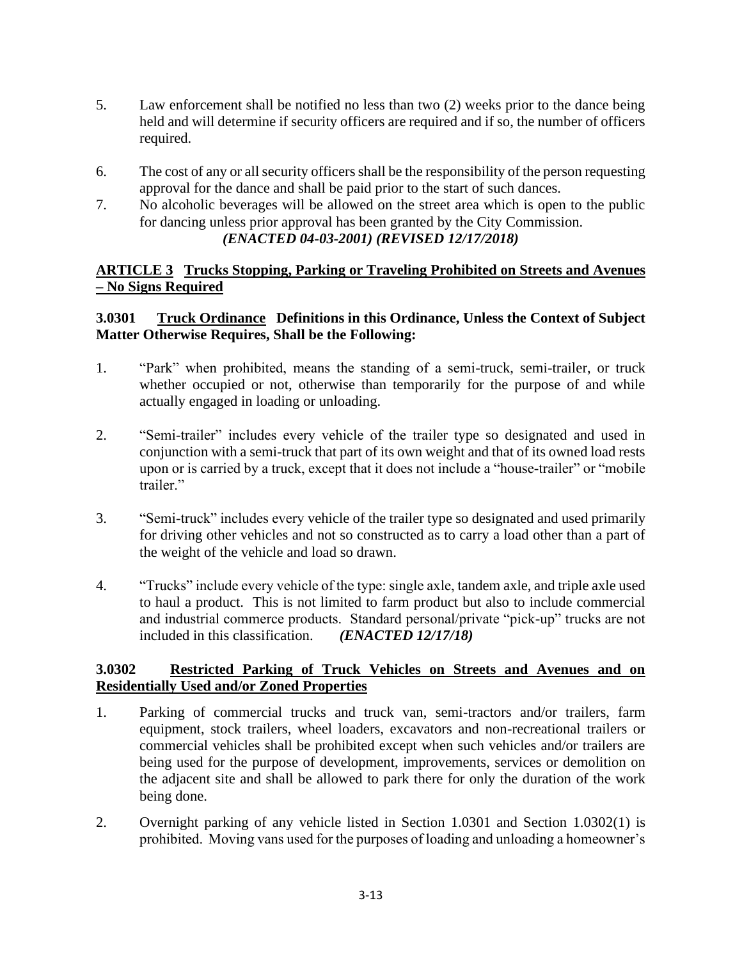- 5. Law enforcement shall be notified no less than two (2) weeks prior to the dance being held and will determine if security officers are required and if so, the number of officers required.
- 6. The cost of any or all security officers shall be the responsibility of the person requesting approval for the dance and shall be paid prior to the start of such dances.
- 7. No alcoholic beverages will be allowed on the street area which is open to the public for dancing unless prior approval has been granted by the City Commission. *(ENACTED 04-03-2001) (REVISED 12/17/2018)*

## **ARTICLE 3 Trucks Stopping, Parking or Traveling Prohibited on Streets and Avenues – No Signs Required**

## **3.0301 Truck Ordinance Definitions in this Ordinance, Unless the Context of Subject Matter Otherwise Requires, Shall be the Following:**

- 1. "Park" when prohibited, means the standing of a semi-truck, semi-trailer, or truck whether occupied or not, otherwise than temporarily for the purpose of and while actually engaged in loading or unloading.
- 2. "Semi-trailer" includes every vehicle of the trailer type so designated and used in conjunction with a semi-truck that part of its own weight and that of its owned load rests upon or is carried by a truck, except that it does not include a "house-trailer" or "mobile trailer."
- 3. "Semi-truck" includes every vehicle of the trailer type so designated and used primarily for driving other vehicles and not so constructed as to carry a load other than a part of the weight of the vehicle and load so drawn.
- 4. "Trucks" include every vehicle of the type: single axle, tandem axle, and triple axle used to haul a product. This is not limited to farm product but also to include commercial and industrial commerce products. Standard personal/private "pick-up" trucks are not included in this classification. *(ENACTED 12/17/18)*

# **3.0302 Restricted Parking of Truck Vehicles on Streets and Avenues and on Residentially Used and/or Zoned Properties**

- 1. Parking of commercial trucks and truck van, semi-tractors and/or trailers, farm equipment, stock trailers, wheel loaders, excavators and non-recreational trailers or commercial vehicles shall be prohibited except when such vehicles and/or trailers are being used for the purpose of development, improvements, services or demolition on the adjacent site and shall be allowed to park there for only the duration of the work being done.
- 2. Overnight parking of any vehicle listed in Section 1.0301 and Section 1.0302(1) is prohibited. Moving vans used for the purposes of loading and unloading a homeowner's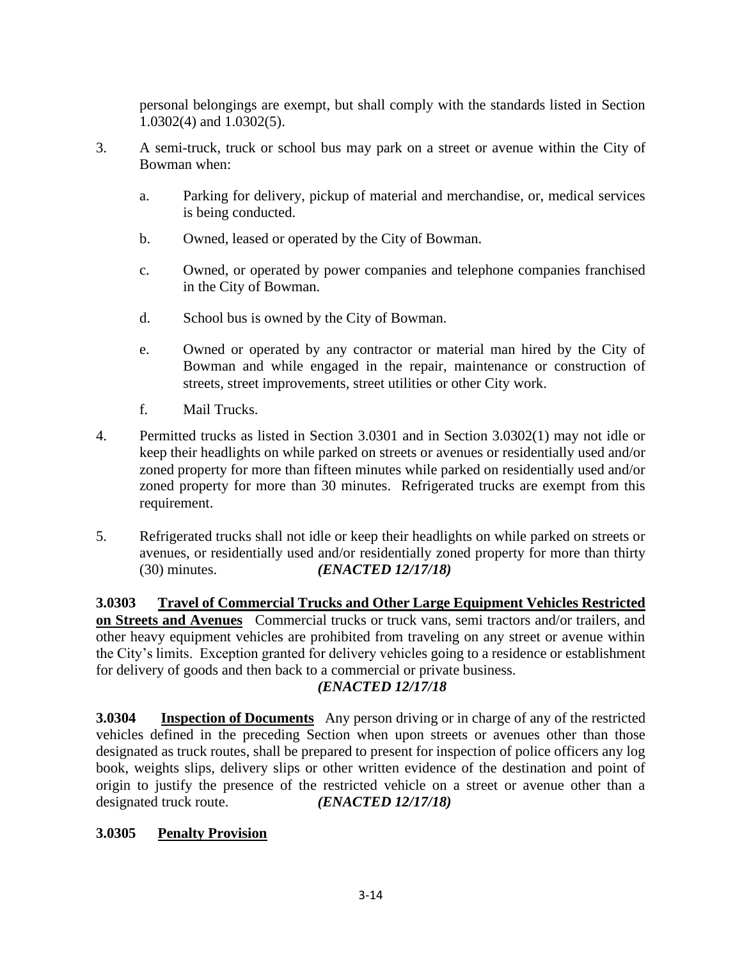personal belongings are exempt, but shall comply with the standards listed in Section 1.0302(4) and 1.0302(5).

- 3. A semi-truck, truck or school bus may park on a street or avenue within the City of Bowman when:
	- a. Parking for delivery, pickup of material and merchandise, or, medical services is being conducted.
	- b. Owned, leased or operated by the City of Bowman.
	- c. Owned, or operated by power companies and telephone companies franchised in the City of Bowman.
	- d. School bus is owned by the City of Bowman.
	- e. Owned or operated by any contractor or material man hired by the City of Bowman and while engaged in the repair, maintenance or construction of streets, street improvements, street utilities or other City work.
	- f. Mail Trucks.
- 4. Permitted trucks as listed in Section 3.0301 and in Section 3.0302(1) may not idle or keep their headlights on while parked on streets or avenues or residentially used and/or zoned property for more than fifteen minutes while parked on residentially used and/or zoned property for more than 30 minutes. Refrigerated trucks are exempt from this requirement.
- 5. Refrigerated trucks shall not idle or keep their headlights on while parked on streets or avenues, or residentially used and/or residentially zoned property for more than thirty (30) minutes. *(ENACTED 12/17/18)*

**3.0303 Travel of Commercial Trucks and Other Large Equipment Vehicles Restricted on Streets and Avenues** Commercial trucks or truck vans, semi tractors and/or trailers, and other heavy equipment vehicles are prohibited from traveling on any street or avenue within the City's limits. Exception granted for delivery vehicles going to a residence or establishment for delivery of goods and then back to a commercial or private business.

# *(ENACTED 12/17/18*

**3.0304 Inspection of Documents** Any person driving or in charge of any of the restricted vehicles defined in the preceding Section when upon streets or avenues other than those designated as truck routes, shall be prepared to present for inspection of police officers any log book, weights slips, delivery slips or other written evidence of the destination and point of origin to justify the presence of the restricted vehicle on a street or avenue other than a designated truck route. *(ENACTED 12/17/18)*

#### **3.0305 Penalty Provision**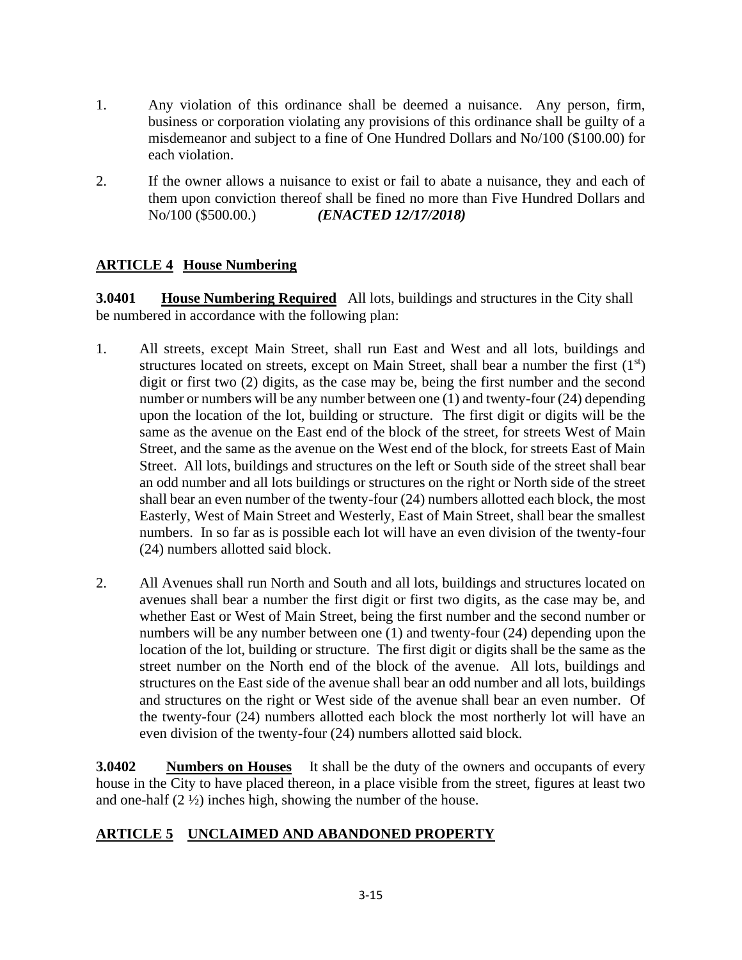- 1. Any violation of this ordinance shall be deemed a nuisance. Any person, firm, business or corporation violating any provisions of this ordinance shall be guilty of a misdemeanor and subject to a fine of One Hundred Dollars and No/100 (\$100.00) for each violation.
- 2. If the owner allows a nuisance to exist or fail to abate a nuisance, they and each of them upon conviction thereof shall be fined no more than Five Hundred Dollars and No/100 (\$500.00.) *(ENACTED 12/17/2018)*

# **ARTICLE 4 House Numbering**

**3.0401** House Numbering Required All lots, buildings and structures in the City shall be numbered in accordance with the following plan:

- 1. All streets, except Main Street, shall run East and West and all lots, buildings and structures located on streets, except on Main Street, shall bear a number the first  $(1<sup>st</sup>)$ digit or first two (2) digits, as the case may be, being the first number and the second number or numbers will be any number between one (1) and twenty-four (24) depending upon the location of the lot, building or structure. The first digit or digits will be the same as the avenue on the East end of the block of the street, for streets West of Main Street, and the same as the avenue on the West end of the block, for streets East of Main Street. All lots, buildings and structures on the left or South side of the street shall bear an odd number and all lots buildings or structures on the right or North side of the street shall bear an even number of the twenty-four (24) numbers allotted each block, the most Easterly, West of Main Street and Westerly, East of Main Street, shall bear the smallest numbers. In so far as is possible each lot will have an even division of the twenty-four (24) numbers allotted said block.
- 2. All Avenues shall run North and South and all lots, buildings and structures located on avenues shall bear a number the first digit or first two digits, as the case may be, and whether East or West of Main Street, being the first number and the second number or numbers will be any number between one (1) and twenty-four (24) depending upon the location of the lot, building or structure. The first digit or digits shall be the same as the street number on the North end of the block of the avenue. All lots, buildings and structures on the East side of the avenue shall bear an odd number and all lots, buildings and structures on the right or West side of the avenue shall bear an even number. Of the twenty-four (24) numbers allotted each block the most northerly lot will have an even division of the twenty-four (24) numbers allotted said block.

**3.0402 Numbers on Houses** It shall be the duty of the owners and occupants of every house in the City to have placed thereon, in a place visible from the street, figures at least two and one-half  $(2 \frac{1}{2})$  inches high, showing the number of the house.

# **ARTICLE 5 UNCLAIMED AND ABANDONED PROPERTY**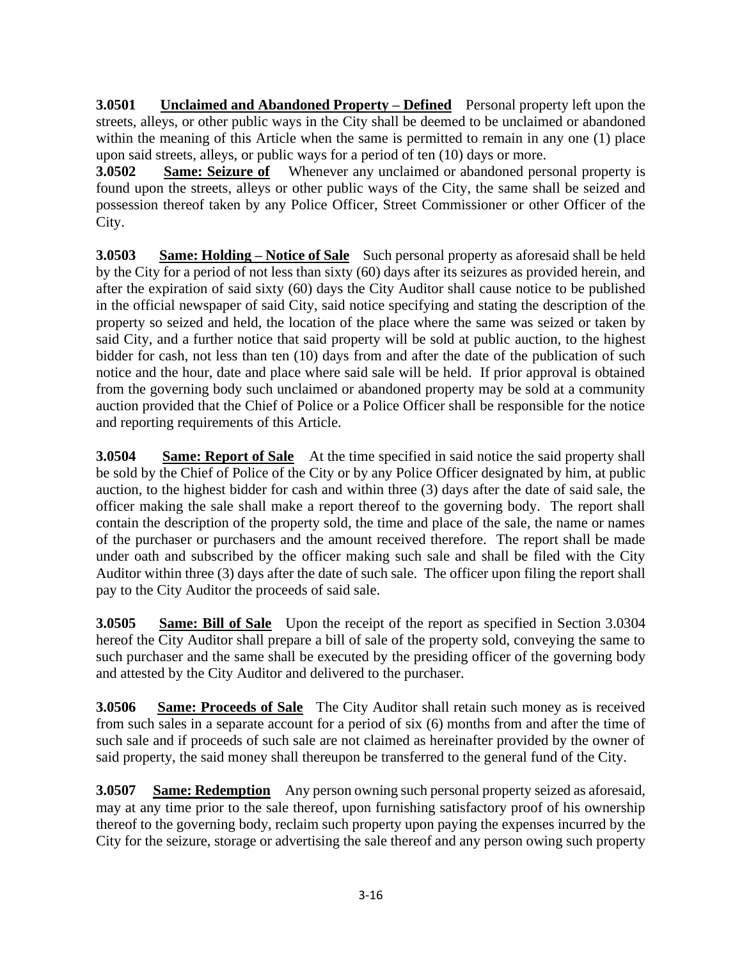**3.0501 Unclaimed and Abandoned Property – Defined** Personal property left upon the streets, alleys, or other public ways in the City shall be deemed to be unclaimed or abandoned within the meaning of this Article when the same is permitted to remain in any one (1) place upon said streets, alleys, or public ways for a period of ten (10) days or more.

**3.0502** Same: Seizure of Whenever any unclaimed or abandoned personal property is found upon the streets, alleys or other public ways of the City, the same shall be seized and possession thereof taken by any Police Officer, Street Commissioner or other Officer of the City.

**3.0503 Same: Holding – Notice of Sale** Such personal property as aforesaid shall be held by the City for a period of not less than sixty (60) days after its seizures as provided herein, and after the expiration of said sixty (60) days the City Auditor shall cause notice to be published in the official newspaper of said City, said notice specifying and stating the description of the property so seized and held, the location of the place where the same was seized or taken by said City, and a further notice that said property will be sold at public auction, to the highest bidder for cash, not less than ten (10) days from and after the date of the publication of such notice and the hour, date and place where said sale will be held. If prior approval is obtained from the governing body such unclaimed or abandoned property may be sold at a community auction provided that the Chief of Police or a Police Officer shall be responsible for the notice and reporting requirements of this Article.

**3.0504 Same: Report of Sale** At the time specified in said notice the said property shall be sold by the Chief of Police of the City or by any Police Officer designated by him, at public auction, to the highest bidder for cash and within three (3) days after the date of said sale, the officer making the sale shall make a report thereof to the governing body. The report shall contain the description of the property sold, the time and place of the sale, the name or names of the purchaser or purchasers and the amount received therefore. The report shall be made under oath and subscribed by the officer making such sale and shall be filed with the City Auditor within three (3) days after the date of such sale. The officer upon filing the report shall pay to the City Auditor the proceeds of said sale.

**3.0505 Same: Bill of Sale** Upon the receipt of the report as specified in Section 3.0304 hereof the City Auditor shall prepare a bill of sale of the property sold, conveying the same to such purchaser and the same shall be executed by the presiding officer of the governing body and attested by the City Auditor and delivered to the purchaser.

**3.0506 Same: Proceeds of Sale** The City Auditor shall retain such money as is received from such sales in a separate account for a period of six (6) months from and after the time of such sale and if proceeds of such sale are not claimed as hereinafter provided by the owner of said property, the said money shall thereupon be transferred to the general fund of the City.

**3.0507 Same: Redemption** Any person owning such personal property seized as aforesaid, may at any time prior to the sale thereof, upon furnishing satisfactory proof of his ownership thereof to the governing body, reclaim such property upon paying the expenses incurred by the City for the seizure, storage or advertising the sale thereof and any person owing such property